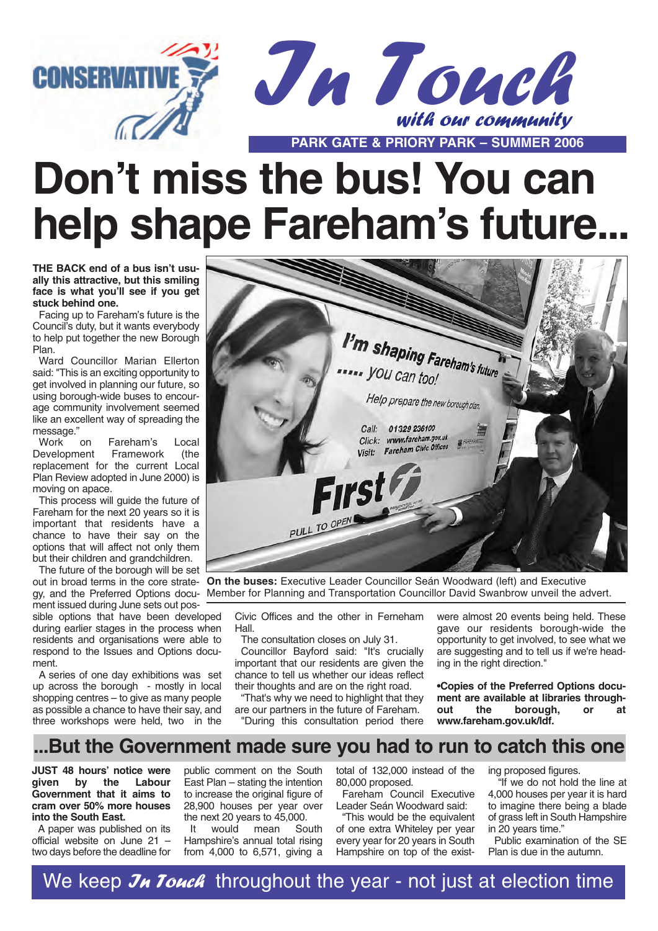



# **Don't miss the bus! You can help shape Fareham's future...**

**THE BACK end of a bus isn't usually this attractive, but this smiling face is what you'll see if you get stuck behind one.**

Facing up to Fareham's future is the Council's duty, but it wants everybody to help put together the new Borough Plan.

Ward Councillor Marian Ellerton said: "This is an exciting opportunity to get involved in planning our future, so using borough-wide buses to encourage community involvement seemed like an excellent way of spreading the message."<br>Work on

Fareham's Local<br>Framework (the Development replacement for the current Local Plan Review adopted in June 2000) is moving on apace.

This process will guide the future of Fareham for the next 20 years so it is important that residents have a chance to have their say on the options that will affect not only them but their children and grandchildren.

The future of the borough will be set ment issued during June sets out pos-

sible options that have been developed during earlier stages in the process when residents and organisations were able to respond to the Issues and Options document.

A series of one day exhibitions was set up across the borough - mostly in local shopping centres – to give as many people as possible a chance to have their say, and three workshops were held, two in the



out in broad terms in the core strate-**On the buses:** Executive Leader Councillor Seán Woodward (left) and Executive gy, and the Preferred Options docu-Member for Planning and Transportation Councillor David Swanbrow unveil the advert.

Civic Offices and the other in Ferneham Hall.

The consultation closes on July 31.

Councillor Bayford said: "It's crucially important that our residents are given the chance to tell us whether our ideas reflect their thoughts and are on the right road.

"That's why we need to highlight that they are our partners in the future of Fareham. "During this consultation period there

were almost 20 events being held. These gave our residents borough-wide the opportunity to get involved, to see what we are suggesting and to tell us if we're heading in the right direction."

**•Copies of the Preferred Options docu**ment are available at libraries through-<br>out the borough, or at borough, or at **www.fareham.gov.uk/ldf.**

## **...But the Government made sure you had to run to catch this one**

**JUST 48 hours' notice were given by the Labour Government that it aims to cram over 50% more houses into the South East.**

A paper was published on its official website on June 21 – two days before the deadline for public comment on the South East Plan – stating the intention to increase the original figure of 28,900 houses per year over the next 20 years to 45,000.<br>It would mean So

would mean South Hampshire's annual total rising from 4,000 to 6,571, giving a total of 132,000 instead of the 80,000 proposed. Fareham Council Executive

Leader Seán Woodward said:

"This would be the equivalent of one extra Whiteley per year every year for 20 years in South Hampshire on top of the existing proposed figures.

"If we do not hold the line at 4,000 houses per year it is hard to imagine there being a blade of grass left in South Hampshire in 20 years time."

Public examination of the SE Plan is due in the autumn.

We keep  $\mathcal{J}_H$  Touch throughout the year - not just at election time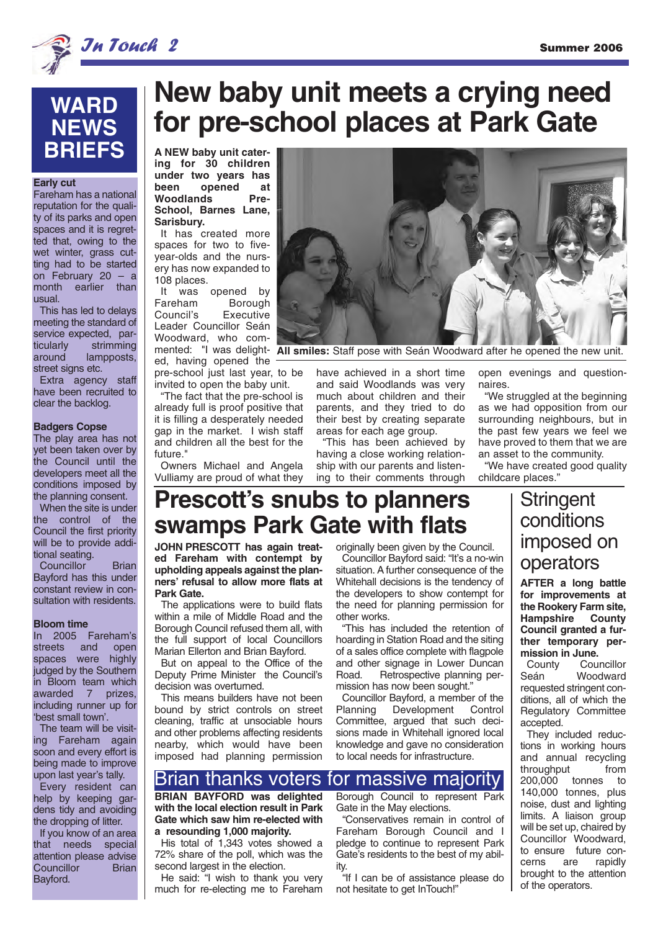

# **WARD NEWS BRIEFS A A NEW** baby unit cater-

#### **Early cut**

Fareham has a national reputation for the quality of its parks and open spaces and it is regretted that, owing to the wet winter, grass cutting had to be started on February 20 – a month earlier than usual.

This has led to delays meeting the standard of service expected, particularly strimming around lampposts, street signs etc.

Extra agency staff have been recruited to clear the backlog.

#### **Badgers Copse**

The play area has not yet been taken over by the Council until the developers meet all the conditions imposed by the planning consent.

When the site is under the control of the Council the first priority will be to provide additional seating.

Councillor Brian Bayford has this under constant review in consultation with residents.

#### **Bloom time**

In 2005 Fareham's streets and open spaces were highly judged by the Southern in Bloom team which awarded 7 prizes, including runner up for 'best small town'.

The team will be visiting Fareham again soon and every effort is being made to improve upon last year's tally.

Every resident can help by keeping gardens tidy and avoiding the dropping of litter.

If you know of an area that needs special attention please advise<br>Councillor Brian Councillor Bayford.

# **New baby unit meets a crying need for pre-school places at Park Gate**

**ing for 30 children under two years has bead** at<br> **b**eed **pre-**Woodlands **School, Barnes Lane, Sarisbury.**

It has created more spaces for two to fiveyear-olds and the nursery has now expanded to 108 places.

It was opened by Fareham Borough Council's Executive Leader Councillor Seán Woodward, who comed, having opened the

pre-school just last year, to be invited to open the baby unit.

"The fact that the pre-school is already full is proof positive that it is filling a desperately needed gap in the market. I wish staff and children all the best for the future."

Owners Michael and Angela Vulliamy are proud of what they



mented: "I was delight-**All smiles:** Staff pose with Seán Woodward after he opened the new unit.

have achieved in a short time and said Woodlands was very much about children and their parents, and they tried to do their best by creating separate areas for each age group.

"This has been achieved by having a close working relationship with our parents and listening to their comments through open evenings and questionnaires.

"We struggled at the beginning as we had opposition from our surrounding neighbours, but in the past few years we feel we have proved to them that we are an asset to the community.

"We have created good quality childcare places."

# **Prescott's snubs to planners swamps Park Gate with flats**

**JOHN PRESCOTT has again treated Fareham with contempt by upholding appeals against the planners' refusal to allow more flats at Park Gate.**

The applications were to build flats within a mile of Middle Road and the Borough Council refused them all, with the full support of local Councillors Marian Ellerton and Brian Bayford.

But on appeal to the Office of the Deputy Prime Minister the Council's decision was overturned.

This means builders have not been bound by strict controls on street cleaning, traffic at unsociable hours and other problems affecting residents nearby, which would have been imposed had planning permission

originally been given by the Council.

Councillor Bayford said: "It's a no-win situation. A further consequence of the Whitehall decisions is the tendency of the developers to show contempt for the need for planning permission for other works.

"This has included the retention of hoarding in Station Road and the siting of a sales office complete with flagpole and other signage in Lower Duncan Retrospective planning permission has now been sought."

Councillor Bayford, a member of the<br>Planning Development Control Development Committee, argued that such decisions made in Whitehall ignored local knowledge and gave no consideration to local needs for infrastructure.

## Brian thanks voters for massive majority

**BRIAN BAYFORD was delighted with the local election result in Park Gate which saw him re-elected with a resounding 1,000 majority.**

His total of 1,343 votes showed a 72% share of the poll, which was the second largest in the election.

He said: "I wish to thank you very much for re-electing me to Fareham Borough Council to represent Park Gate in the May elections.

"Conservatives remain in control of Fareham Borough Council and I pledge to continue to represent Park Gate's residents to the best of my ability.

"If I can be of assistance please do not hesitate to get InTouch!"

## **Stringent** conditions imposed on operators

**AFTER a long battle for improvements at the Rookery Farm site, Hampshire County Council granted a further temporary permission in June.**

County Councillor Seán Woodward requested stringent conditions, all of which the Regulatory Committee accepted.

They included reductions in working hours and annual recycling<br>throughput from throughput 200,000 tonnes to 140,000 tonnes, plus noise, dust and lighting limits. A liaison group will be set up, chaired by Councillor Woodward, to ensure future concerns are rapidly brought to the attention of the operators.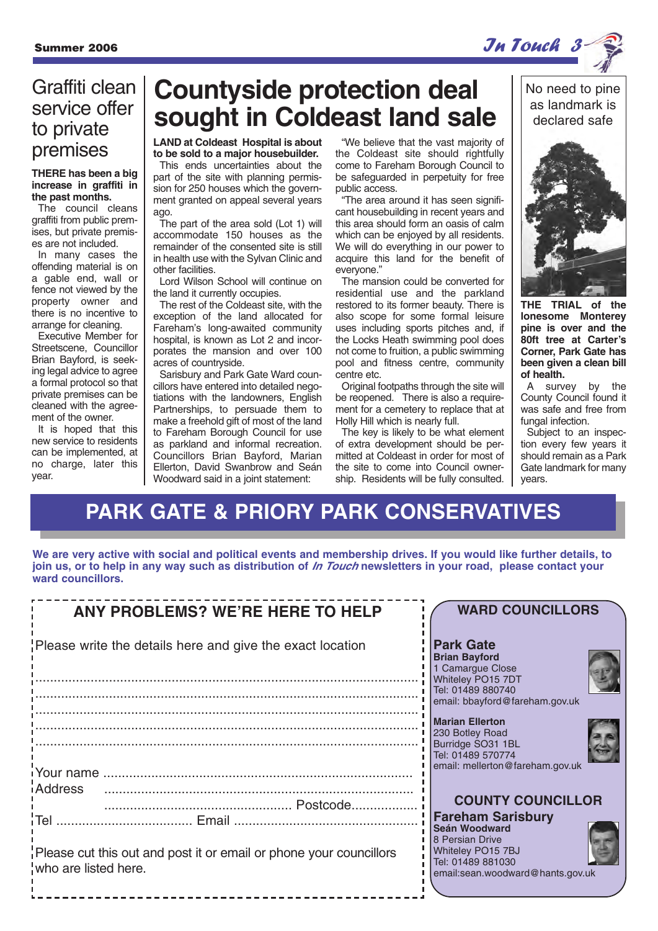## Graffiti clean service offer to private premises

#### **THERE has been a big increase in graffiti in the past months.**

The council cleans graffiti from public premises, but private premises are not included.

In many cases the offending material is on a gable end, wall or fence not viewed by the property owner and there is no incentive to arrange for cleaning.

Executive Member for Streetscene, Councillor Brian Bayford, is seeking legal advice to agree a formal protocol so that private premises can be cleaned with the agreement of the owner.

It is hoped that this new service to residents can be implemented, at no charge, later this year.

# **Countyside protection deal sought in Coldeast land sale**

**LAND at Coldeast Hospital is about to be sold to a major housebuilder.**

This ends uncertainties about the part of the site with planning permission for 250 houses which the government granted on appeal several years ago.

The part of the area sold (Lot 1) will accommodate 150 houses as the remainder of the consented site is still in health use with the Sylvan Clinic and other facilities.

Lord Wilson School will continue on the land it currently occupies.

The rest of the Coldeast site, with the exception of the land allocated for Fareham's long-awaited community hospital, is known as Lot 2 and incorporates the mansion and over 100 acres of countryside.

Sarisbury and Park Gate Ward councillors have entered into detailed negotiations with the landowners, English Partnerships, to persuade them to make a freehold gift of most of the land to Fareham Borough Council for use as parkland and informal recreation. Councillors Brian Bayford, Marian Ellerton, David Swanbrow and Seán Woodward said in a joint statement:

"We believe that the vast majority of the Coldeast site should rightfully come to Fareham Borough Council to be safeguarded in perpetuity for free public access.

"The area around it has seen significant housebuilding in recent years and this area should form an oasis of calm which can be enjoyed by all residents. We will do everything in our power to acquire this land for the benefit of everyone."

The mansion could be converted for residential use and the parkland restored to its former beauty. There is also scope for some formal leisure uses including sports pitches and, if the Locks Heath swimming pool does not come to fruition, a public swimming pool and fitness centre, community centre etc.

Original footpaths through the site will be reopened. There is also a requirement for a cemetery to replace that at Holly Hill which is nearly full.

The key is likely to be what element of extra development should be permitted at Coldeast in order for most of the site to come into Council ownership. Residents will be fully consulted. No need to pine as landmark is declared safe



**THE TRIAL of the lonesome Monterey pine is over and the 80ft tree at Carter's Corner, Park Gate has been given a clean bill of health.**

A survey by the County Council found it was safe and free from fungal infection.

Subject to an inspection every few years it should remain as a Park Gate landmark for many years.

# **PARK GATE & PRIORY PARK CONSERVATIVES**

**We are very active with social and political events and membership drives. If you would like further details, to join us, or to help in any way such as distribution of In Touch newsletters in your road, please contact your ward councillors.**

| <b>ANY PROBLEMS? WE'RE HERE TO HELP</b>                   |                                                                    |  | <b>WARD COUNCILLORS</b>                                                                                                |
|-----------------------------------------------------------|--------------------------------------------------------------------|--|------------------------------------------------------------------------------------------------------------------------|
| Please write the details here and give the exact location |                                                                    |  | <b>Park Gate</b><br><b>Brian Bayford</b><br>1 Camargue Close<br>Whiteley PO15 7DT                                      |
|                                                           |                                                                    |  | Tel: 01489 880740<br>email: bbayford@fareham.gov.uk                                                                    |
|                                                           |                                                                    |  | <b>Marian Ellerton</b><br>230 Botley Road<br>Burridge SO31 1BL<br>Tel: 01489 570774<br>email: mellerton@fareham.gov.uk |
| iAddress                                                  |                                                                    |  | <b>COUNTY COUNCILLOR</b>                                                                                               |
|                                                           |                                                                    |  | <b>Fareham Sarisbury</b>                                                                                               |
| who are listed here.                                      | Please cut this out and post it or email or phone your councillors |  | Seán Woodward<br>8 Persian Drive<br>Whiteley PO15 7BJ<br>Tel: 01489 881030<br>email:sean.woodward@hants.gov.uk         |